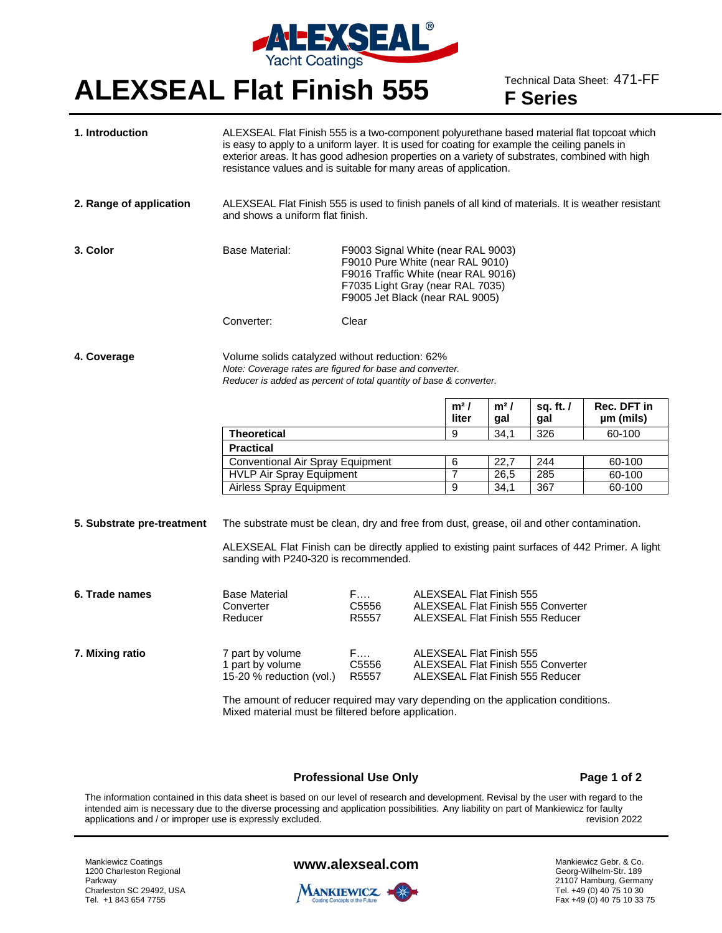

# **ALEXSEAL Flat Finish 555** Technical Data Sheet: 471-FF

**F Series**

| 1. Introduction            | ALEXSEAL Flat Finish 555 is a two-component polyurethane based material flat topcoat which<br>is easy to apply to a uniform layer. It is used for coating for example the ceiling panels in<br>exterior areas. It has good adhesion properties on a variety of substrates, combined with high<br>resistance values and is suitable for many areas of application. |                                                                                                                                                                                      |  |                                                                                                           |                                 |                                                                               |                          |  |
|----------------------------|-------------------------------------------------------------------------------------------------------------------------------------------------------------------------------------------------------------------------------------------------------------------------------------------------------------------------------------------------------------------|--------------------------------------------------------------------------------------------------------------------------------------------------------------------------------------|--|-----------------------------------------------------------------------------------------------------------|---------------------------------|-------------------------------------------------------------------------------|--------------------------|--|
| 2. Range of application    | ALEXSEAL Flat Finish 555 is used to finish panels of all kind of materials. It is weather resistant<br>and shows a uniform flat finish.                                                                                                                                                                                                                           |                                                                                                                                                                                      |  |                                                                                                           |                                 |                                                                               |                          |  |
| 3. Color                   | Base Material:                                                                                                                                                                                                                                                                                                                                                    | F9003 Signal White (near RAL 9003)<br>F9010 Pure White (near RAL 9010)<br>F9016 Traffic White (near RAL 9016)<br>F7035 Light Gray (near RAL 7035)<br>F9005 Jet Black (near RAL 9005) |  |                                                                                                           |                                 |                                                                               |                          |  |
|                            | Converter:                                                                                                                                                                                                                                                                                                                                                        | Clear                                                                                                                                                                                |  |                                                                                                           |                                 |                                                                               |                          |  |
| 4. Coverage                | Volume solids catalyzed without reduction: 62%<br>Note: Coverage rates are figured for base and converter.<br>Reducer is added as percent of total quantity of base & converter.                                                                                                                                                                                  |                                                                                                                                                                                      |  |                                                                                                           |                                 |                                                                               |                          |  |
|                            |                                                                                                                                                                                                                                                                                                                                                                   |                                                                                                                                                                                      |  | $m2$ /<br>liter                                                                                           | $m2$ /<br>gal                   | sq. ft. $\prime$<br>gal                                                       | Rec. DFT in<br>µm (mils) |  |
|                            | <b>Theoretical</b>                                                                                                                                                                                                                                                                                                                                                |                                                                                                                                                                                      |  | 9                                                                                                         | 34,1                            | 326                                                                           | 60-100                   |  |
|                            | <b>Practical</b>                                                                                                                                                                                                                                                                                                                                                  |                                                                                                                                                                                      |  |                                                                                                           |                                 |                                                                               |                          |  |
|                            | Conventional Air Spray Equipment<br><b>HVLP Air Spray Equipment</b><br><b>Airless Spray Equipment</b>                                                                                                                                                                                                                                                             |                                                                                                                                                                                      |  | 6                                                                                                         | 22,7                            | 244                                                                           | 60-100                   |  |
|                            |                                                                                                                                                                                                                                                                                                                                                                   |                                                                                                                                                                                      |  | $\overline{7}$                                                                                            | 26,5                            | 285                                                                           | 60-100                   |  |
|                            |                                                                                                                                                                                                                                                                                                                                                                   |                                                                                                                                                                                      |  | 9                                                                                                         | 34,1                            | 367                                                                           | 60-100                   |  |
| 5. Substrate pre-treatment | The substrate must be clean, dry and free from dust, grease, oil and other contamination.<br>ALEXSEAL Flat Finish can be directly applied to existing paint surfaces of 442 Primer. A light<br>sanding with P240-320 is recommended.                                                                                                                              |                                                                                                                                                                                      |  |                                                                                                           |                                 |                                                                               |                          |  |
| 6. Trade names             | <b>Base Material</b><br>Converter<br>Reducer                                                                                                                                                                                                                                                                                                                      | F.<br>C5556<br>R5557                                                                                                                                                                 |  | <b>ALEXSEAL Flat Finish 555</b><br>ALEXSEAL Flat Finish 555 Converter<br>ALEXSEAL Flat Finish 555 Reducer |                                 |                                                                               |                          |  |
| 7. Mixing ratio            | 7 part by volume<br>1 part by volume<br>15-20 % reduction (vol.)                                                                                                                                                                                                                                                                                                  | F.<br>C5556<br>R5557                                                                                                                                                                 |  |                                                                                                           | <b>ALEXSEAL Flat Finish 555</b> | <b>ALEXSEAL Flat Finish 555 Converter</b><br>ALEXSEAL Flat Finish 555 Reducer |                          |  |
|                            | The amount of reducer required may vary depending on the application conditions.<br>Mixed material must be filtered before application.                                                                                                                                                                                                                           |                                                                                                                                                                                      |  |                                                                                                           |                                 |                                                                               |                          |  |

#### **Professional Use Only Page 1 of 2**

The information contained in this data sheet is based on our level of research and development. Revisal by the user with regard to the intended aim is necessary due to the diverse processing and application possibilities. Any liability on part of Mankiewicz for faulty<br>revision 2022 revision 2022 applications and / or improper use is expressly excluded.

Mankiewicz Coatings 1200 Charleston Regional Parkway Charleston SC 29492, USA Tel. +1 843 654 7755

### **www.alexseal.com**



Mankiewicz Gebr. & Co. Georg-Wilhelm-Str. 189 21107 Hamburg, Germany Tel. +49 (0) 40 75 10 30 Fax +49 (0) 40 75 10 33 75